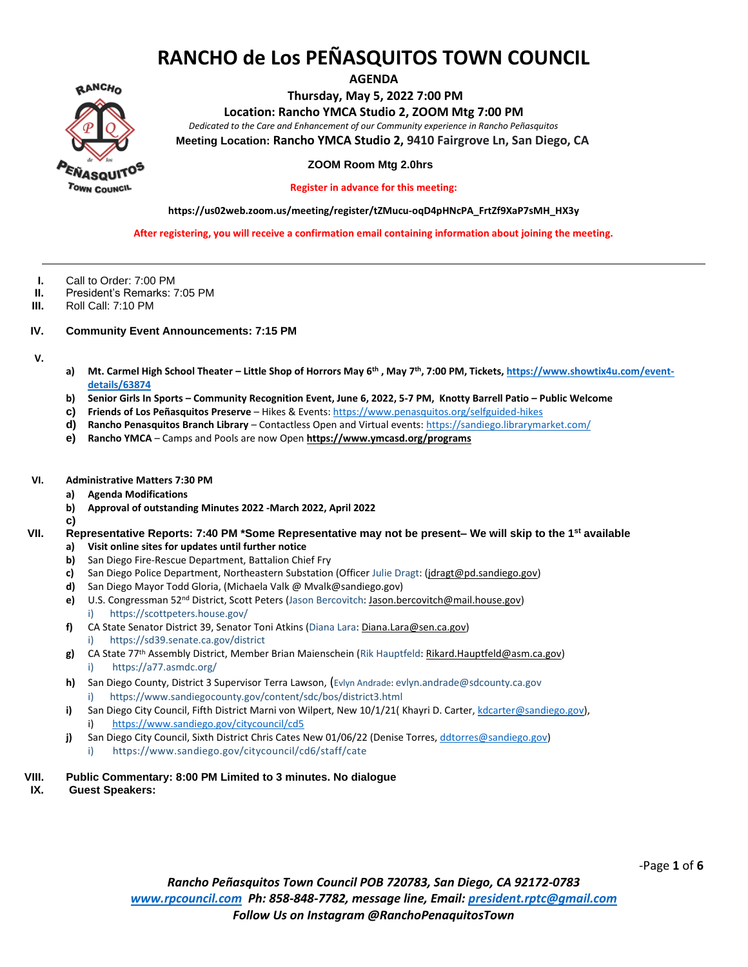**AGENDA**

**Thursday, May 5, 2022 7:00 PM**

# RANCHO Vasoull TOWN COUNCIL

**Location: Rancho YMCA Studio 2, ZOOM Mtg 7:00 PM**

*Dedicated to the Care and Enhancement of our Community experience in Rancho Peñasquitos*

**Meeting Location: Rancho YMCA Studio 2, 9410 Fairgrove Ln, San Diego, CA**

**ZOOM Room Mtg 2.0hrs**

**Register in advance for this meeting:**

**https://us02web.zoom.us/meeting/register/tZMucu-oqD4pHNcPA\_FrtZf9XaP7sMH\_HX3y** 

**After registering, you will receive a confirmation email containing information about joining the meeting.**

- **I.** Call to Order: 7:00 PM
- **II.** President's Remarks: 7:05 PM
- **III.** Roll Call: 7:10 PM

#### **IV. Community Event Announcements: 7:15 PM**

- **V.**
- **a) Mt. Carmel High School Theater – Little Shop of Horrors May 6th , May 7th, 7:00 PM, Tickets[, https://www.showtix4u.com/event](https://www.showtix4u.com/event-details/63874)[details/63874](https://www.showtix4u.com/event-details/63874)**
- **b) Senior Girls In Sports – Community Recognition Event, June 6, 2022, 5-7 PM, Knotty Barrell Patio – Public Welcome**
- **c) Friends of Los Peñasquitos Preserve** Hikes & Events: <https://www.penasquitos.org/selfguided-hikes>
- **d) Rancho Penasquitos Branch Library** Contactless Open and Virtual events:<https://sandiego.librarymarket.com/>
- **e) Rancho YMCA** Camps and Pools are now Open **<https://www.ymcasd.org/programs>**

#### **VI. Administrative Matters 7:30 PM**

- **a) Agenda Modifications**
- **b) Approval of outstanding Minutes 2022 -March 2022, April 2022**

**c)**

### **VII. Representative Reports: 7:40 PM \*Some Representative may not be present– We will skip to the 1st available**

- **a) Visit online sites for updates until further notice**
- **b)** San Diego Fire-Rescue Department, Battalion Chief Fry
- **c)** San Diego Police Department, Northeastern Substation (Officer Julie Dragt: [\(jdragt@pd.sandiego.gov\)](mailto:jdragt@pd.sandiego.gov)
- **d)** San Diego Mayor Todd Gloria, (Michaela Valk @ Mvalk@sandiego.gov)
- **e)** U.S. Congressman 52nd District, Scott Peters (Jason Bercovitch[: Jason.bercovitch@mail.house.gov\)](mailto:Jason.bercovitch@mail.house.gov)
- i) https://scottpeters.house.gov/ **f)** CA State Senator District 39, Senator Toni Atkins (Diana Lara[: Diana.Lara@sen.ca.gov\)](mailto:Diana.Lara@sen.ca.gov) i) https://sd39.senate.ca.gov/district
- **g)** CA State 77th Assembly District, Member Brian Maienschein (Rik Hauptfeld: [Rikard.Hauptfeld@asm.ca.gov\)](mailto:Rikard.Hauptfeld@asm.ca.gov) i) https://a77.asmdc.org/
- **h)** San Diego County, District 3 Supervisor Terra Lawson, (Evlyn Andrade: evlyn.andrade@sdcounty.ca.gov i) https://www.sandiegocounty.gov/content/sdc/bos/district3.html
- i) San Diego City Council, Fifth District Marni von Wilpert, New 10/1/21 (Khayri D. Carter, [kdcarter@sandiego.gov\)](mailto:kdcarter@sandiego.gov), i) <https://www.sandiego.gov/citycouncil/cd5>
- **j)** San Diego City Council, Sixth District Chris Cates New 01/06/22 (Denise Torres[, ddtorres@sandiego.gov\)](mailto:ddtorres@sandiego.gov)
	- i) https://www.sandiego.gov/citycouncil/cd6/staff/cate
- **VIII. Public Commentary: 8:00 PM Limited to 3 minutes. No dialogue**
- **IX. Guest Speakers:**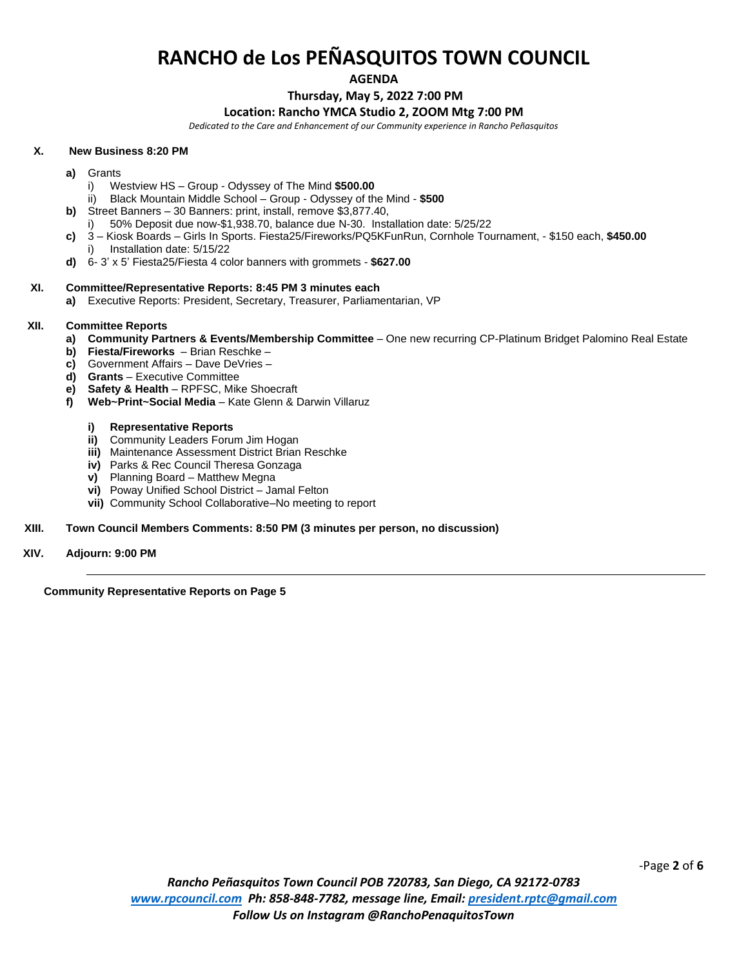#### **AGENDA**

### **Thursday, May 5, 2022 7:00 PM**

### **Location: Rancho YMCA Studio 2, ZOOM Mtg 7:00 PM**

*Dedicated to the Care and Enhancement of our Community experience in Rancho Peñasquitos*

#### **X. New Business 8:20 PM**

- **a)** Grants
	- i) Westview HS Group Odyssey of The Mind **\$500.00**
	- ii) Black Mountain Middle School Group Odyssey of the Mind **\$500**
- **b)** Street Banners 30 Banners: print, install, remove \$3,877.40,
	- i) 50% Deposit due now-\$1,938.70, balance due N-30. Installation date: 5/25/22
- **c)** 3 Kiosk Boards Girls In Sports. Fiesta25/Fireworks/PQ5KFunRun, Cornhole Tournament, \$150 each, **\$450.00** i) Installation date: 5/15/22
- **d)** 6- 3' x 5' Fiesta25/Fiesta 4 color banners with grommets **\$627.00**

#### **XI. Committee/Representative Reports: 8:45 PM 3 minutes each**

**a)** Executive Reports: President, Secretary, Treasurer, Parliamentarian, VP

#### **XII. Committee Reports**

- **a) Community Partners & Events/Membership Committee** One new recurring CP-Platinum Bridget Palomino Real Estate
- **b) Fiesta/Fireworks** Brian Reschke –
- **c)** Government Affairs Dave DeVries –
- **d) Grants** Executive Committee
- **e) Safety & Health** RPFSC, Mike Shoecraft
- **f) Web~Print~Social Media** Kate Glenn & Darwin Villaruz

#### **i) Representative Reports**

- **ii)** Community Leaders Forum Jim Hogan
- **iii)** Maintenance Assessment District Brian Reschke
- **iv)** Parks & Rec Council Theresa Gonzaga
- **v)** Planning Board Matthew Megna
- **vi)** Poway Unified School District Jamal Felton
- **vii)** Community School Collaborative–No meeting to report

#### **XIII. Town Council Members Comments: 8:50 PM (3 minutes per person, no discussion)**

#### **XIV. Adjourn: 9:00 PM**

**Community Representative Reports on Page 5**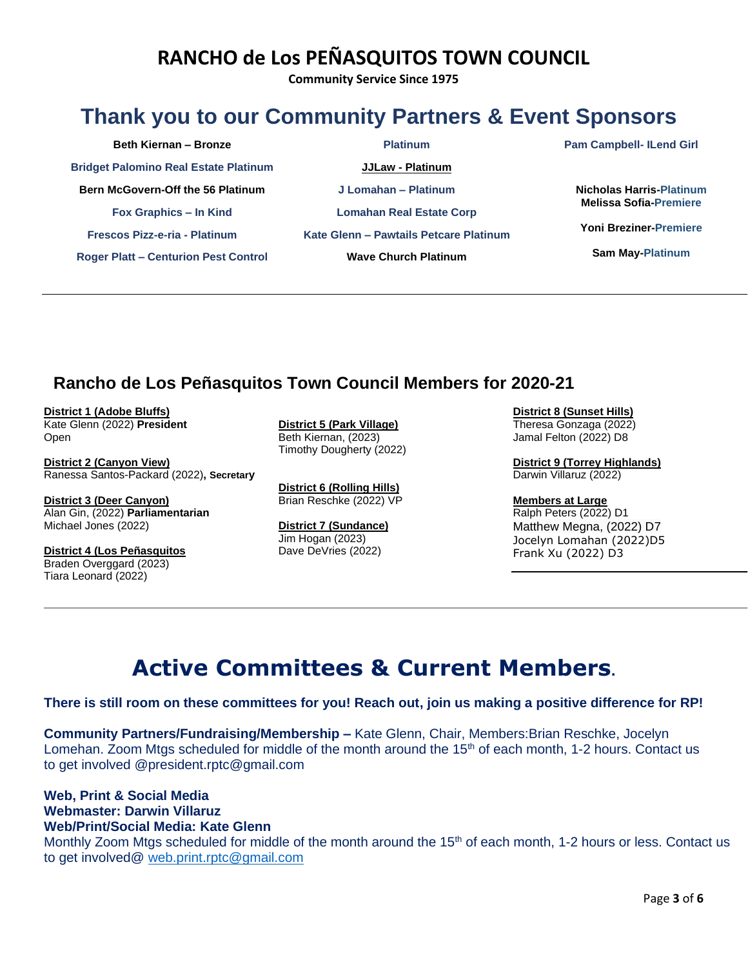**Community Service Since 1975**

# **Thank you to our Community Partners & Event Sponsors**

**Beth Kiernan – Bronze Bridget Palomino Real Estate Platinum Bern McGovern-Off the 56 Platinum Fox Graphics – In Kind Frescos Pizz-e-ria - Platinum Roger Platt – Centurion Pest Control**

**Platinum JJLaw - Platinum J Lomahan – Platinum Lomahan Real Estate Corp Kate Glenn – Pawtails Petcare Platinum Wave Church Platinum**

**Pam Campbell- ILend Girl**

**Nicholas Harris-Platinum Melissa Sofia-Premiere**

**Yoni Breziner-Premiere**

**Sam May-Platinum**

## **Rancho de Los Peñasquitos Town Council Members for 2020-21**

**District 1 (Adobe Bluffs)** Kate Glenn (2022) **President** Open

**District 2 (Canyon View)** Ranessa Santos-Packard (2022)**, Secretary**

**District 3 (Deer Canyon)** Alan Gin, (2022) **Parliamentarian** Michael Jones (2022)

**District 4 (Los Peñasquitos** Braden Overggard (2023) Tiara Leonard (2022)

**District 5 (Park Village)** Beth Kiernan, (2023) Timothy Dougherty (2022)

**District 6 (Rolling Hills)** Brian Reschke (2022) VP

**District 7 (Sundance)** Jim Hogan (2023) Dave DeVries (2022)

**District 8 (Sunset Hills)** Theresa Gonzaga (2022) Jamal Felton (2022) D8

**District 9 (Torrey Highlands)** Darwin Villaruz (2022)

**Members at Large** Ralph Peters (2022) D1 Matthew Megna, (2022) D7 Jocelyn Lomahan (2022)D5 Frank Xu (2022) D3

# **Active Committees & Current Members.**

### **There is still room on these committees for you! Reach out, join us making a positive difference for RP!**

**Community Partners/Fundraising/Membership –** Kate Glenn, Chair, Members:Brian Reschke, Jocelyn Lomehan. Zoom Mtgs scheduled for middle of the month around the 15<sup>th</sup> of each month, 1-2 hours. Contact us to get involved @president.rptc@gmail.com

**Web, Print & Social Media Webmaster: Darwin Villaruz Web/Print/Social Media: Kate Glenn** Monthly Zoom Mtgs scheduled for middle of the month around the 15<sup>th</sup> of each month, 1-2 hours or less. Contact us to get involved@ [web.print.rptc@gmail.com](mailto:web.print.rptc@gmail.com)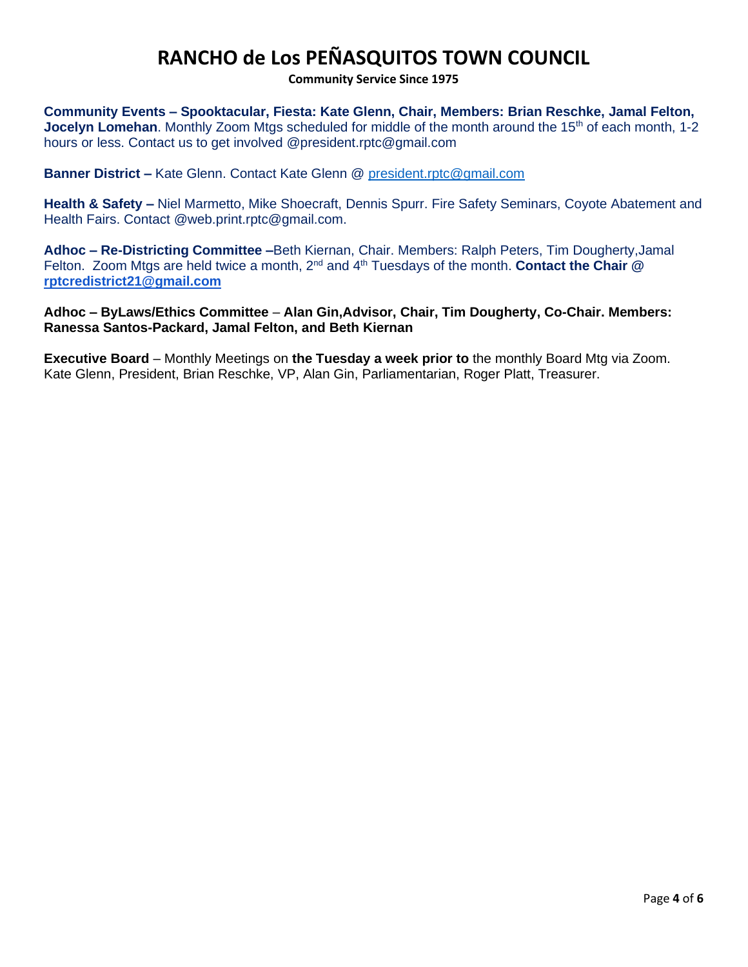**Community Service Since 1975**

**Community Events – Spooktacular, Fiesta: Kate Glenn, Chair, Members: Brian Reschke, Jamal Felton, Jocelyn Lomehan**. Monthly Zoom Mtgs scheduled for middle of the month around the 15<sup>th</sup> of each month, 1-2 hours or less. Contact us to get involved @president.rptc@gmail.com

**Banner District –** Kate Glenn. Contact Kate Glenn @ [president.rptc@gmail.com](mailto:president.rptc@gmail.com)

**Health & Safety –** Niel Marmetto, Mike Shoecraft, Dennis Spurr. Fire Safety Seminars, Coyote Abatement and Health Fairs. Contact @web.print.rptc@gmail.com.

**Adhoc – Re-Districting Committee –**Beth Kiernan, Chair. Members: Ralph Peters, Tim Dougherty,Jamal Felton. Zoom Mtgs are held twice a month, 2<sup>nd</sup> and 4<sup>th</sup> Tuesdays of the month. **Contact the Chair** @ **[rptcredistrict21@gmail.com](mailto:rptcredistrict21@gmail.com)**

**Adhoc – ByLaws/Ethics Committee** – **Alan Gin,Advisor, Chair, Tim Dougherty, Co-Chair. Members: Ranessa Santos-Packard, Jamal Felton, and Beth Kiernan**

**Executive Board** – Monthly Meetings on **the Tuesday a week prior to** the monthly Board Mtg via Zoom. Kate Glenn, President, Brian Reschke, VP, Alan Gin, Parliamentarian, Roger Platt, Treasurer.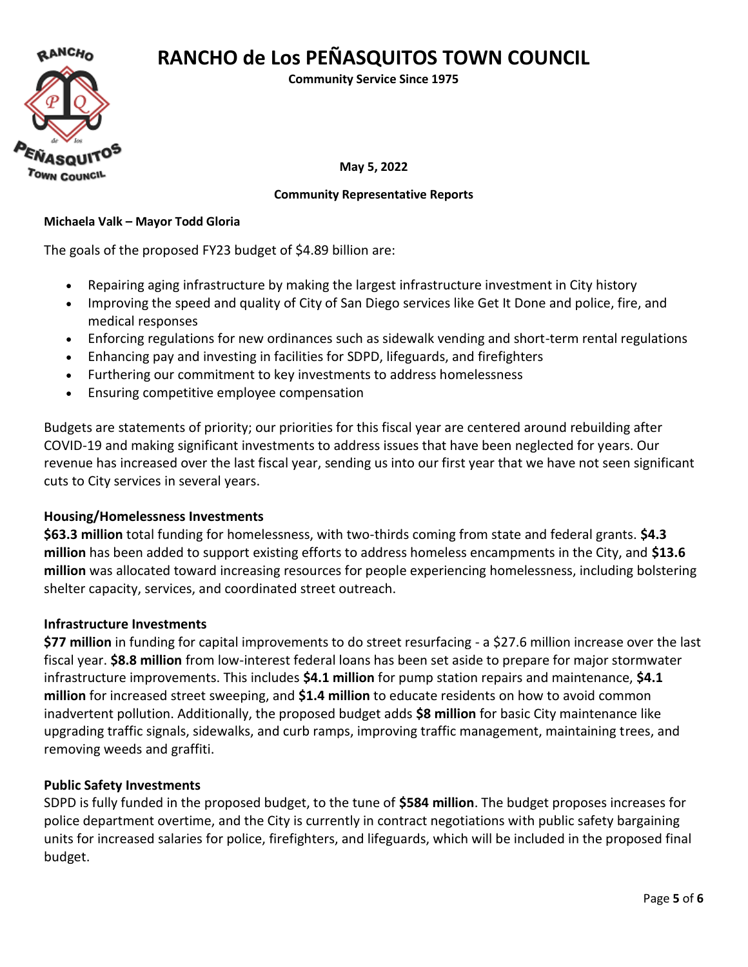**Community Service Since 1975**



**May 5, 2022**

### **Community Representative Reports**

### **Michaela Valk – Mayor Todd Gloria**

The goals of the proposed FY23 budget of \$4.89 billion are:

- Repairing aging infrastructure by making the largest infrastructure investment in City history
- Improving the speed and quality of City of San Diego services like Get It Done and police, fire, and medical responses
- Enforcing regulations for new ordinances such as sidewalk vending and short-term rental regulations
- Enhancing pay and investing in facilities for SDPD, lifeguards, and firefighters
- Furthering our commitment to key investments to address homelessness
- Ensuring competitive employee compensation

Budgets are statements of priority; our priorities for this fiscal year are centered around rebuilding after COVID-19 and making significant investments to address issues that have been neglected for years. Our revenue has increased over the last fiscal year, sending us into our first year that we have not seen significant cuts to City services in several years.

### **Housing/Homelessness Investments**

**\$63.3 million** total funding for homelessness, with two-thirds coming from state and federal grants. **\$4.3 million** has been added to support existing efforts to address homeless encampments in the City, and **\$13.6 million** was allocated toward increasing resources for people experiencing homelessness, including bolstering shelter capacity, services, and coordinated street outreach.

### **Infrastructure Investments**

**\$77 million** in funding for capital improvements to do street resurfacing - a \$27.6 million increase over the last fiscal year. **\$8.8 million** from low-interest federal loans has been set aside to prepare for major stormwater infrastructure improvements. This includes **\$4.1 million** for pump station repairs and maintenance, **\$4.1 million** for increased street sweeping, and **\$1.4 million** to educate residents on how to avoid common inadvertent pollution. Additionally, the proposed budget adds **\$8 million** for basic City maintenance like upgrading traffic signals, sidewalks, and curb ramps, improving traffic management, maintaining trees, and removing weeds and graffiti.

### **Public Safety Investments**

SDPD is fully funded in the proposed budget, to the tune of **\$584 million**. The budget proposes increases for police department overtime, and the City is currently in contract negotiations with public safety bargaining units for increased salaries for police, firefighters, and lifeguards, which will be included in the proposed final budget.